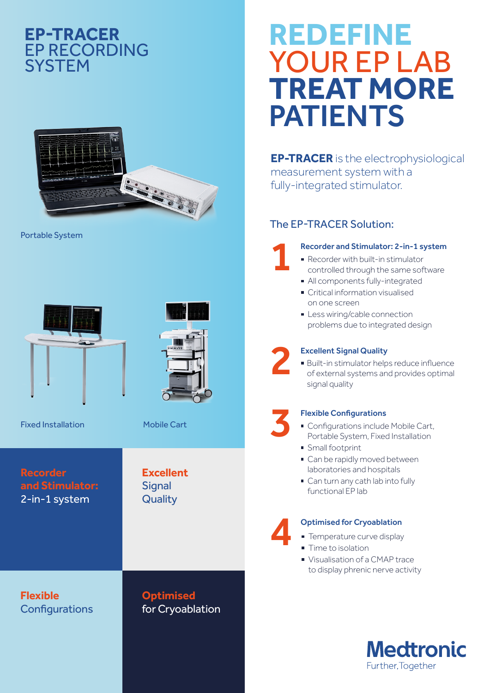### **EP-TRACER** EP RECORDING **SYSTEM**



Portable System



Fixed Installation Mobile Cart

**Recorder and Stimulator:** 2-in-1 system

**Flexible Configurations** 

## for Cryoablation

# **REDEFINE** YOUR EP LAB **TREAT MORE** PATIENTS

**EP-TRACER** is the electrophysiological measurement system with a fully-integrated stimulator.

### The EP-TRACER Solution:

## Recorder and Stimulator: 2-in-1 system<br>
■ Recorder with built-in stimulator

- controlled through the same software
- All components fully-integrated
- **Critical information visualised** on one screen
- **Less wiring/cable connection** problems due to integrated design

Excellent Signal Quality<br>
<sup>2</sup> Built-in stimulator helps reduce influence<br>
of external systems and provides optimal signal quality

- **Flexible Configurations<br>• Configurations include Mobile Cart,** Portable System, Fixed Installation
- **Small footprint**
- Can be rapidly moved between laboratories and hospitals
- Can turn any cath lab into fully functional EP lab

## **Optimised for Cryoablation**<br>**■ Temperature curve display**

- 
- **Time to isolation**
- Visualisation of a CMAP trace to display phrenic nerve activity





**Excellent Signal Quality** 

**Optimised**